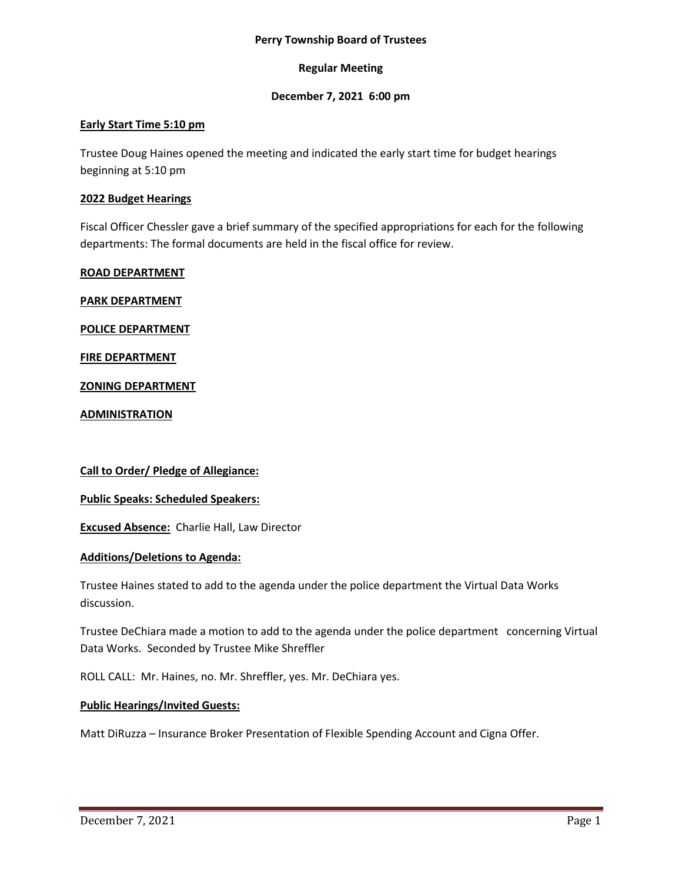### **Perry Township Board of Trustees**

## **Regular Meeting**

## **December 7, 2021 6:00 pm**

## **Early Start Time 5:10 pm**

Trustee Doug Haines opened the meeting and indicated the early start time for budget hearings beginning at 5:10 pm

### **2022 Budget Hearings**

Fiscal Officer Chessler gave a brief summary of the specified appropriations for each for the following departments: The formal documents are held in the fiscal office for review.

### **ROAD DEPARTMENT**

**PARK DEPARTMENT**

**POLICE DEPARTMENT**

**FIRE DEPARTMENT**

**ZONING DEPARTMENT**

**ADMINISTRATION**

**Call to Order/ Pledge of Allegiance:**

**Public Speaks: Scheduled Speakers:**

**Excused Absence:** Charlie Hall, Law Director

## **Additions/Deletions to Agenda:**

Trustee Haines stated to add to the agenda under the police department the Virtual Data Works discussion.

Trustee DeChiara made a motion to add to the agenda under the police department concerning Virtual Data Works. Seconded by Trustee Mike Shreffler

ROLL CALL: Mr. Haines, no. Mr. Shreffler, yes. Mr. DeChiara yes.

#### **Public Hearings/Invited Guests:**

Matt DiRuzza – Insurance Broker Presentation of Flexible Spending Account and Cigna Offer.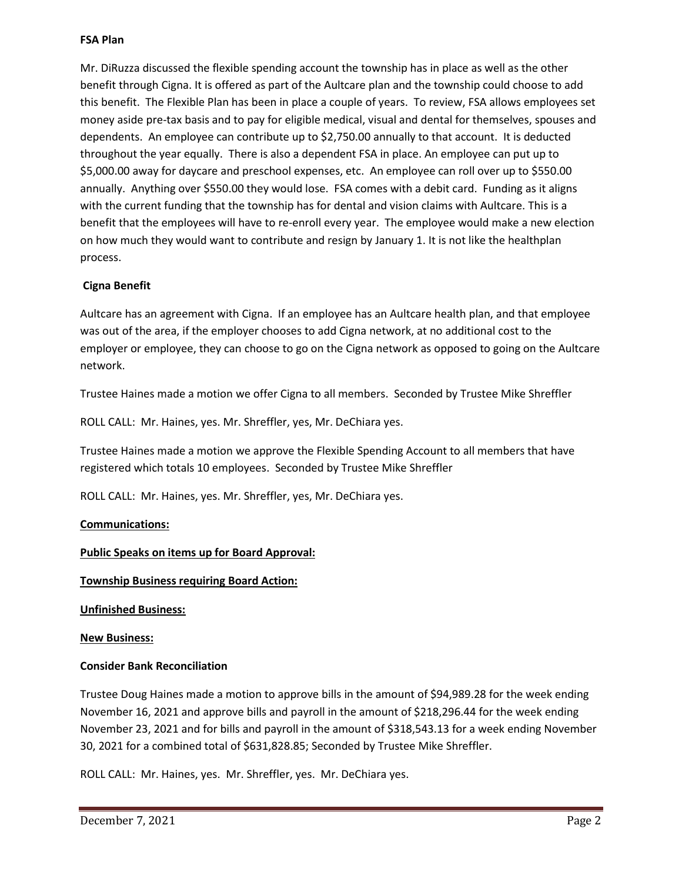### **FSA Plan**

Mr. DiRuzza discussed the flexible spending account the township has in place as well as the other benefit through Cigna. It is offered as part of the Aultcare plan and the township could choose to add this benefit. The Flexible Plan has been in place a couple of years. To review, FSA allows employees set money aside pre-tax basis and to pay for eligible medical, visual and dental for themselves, spouses and dependents. An employee can contribute up to \$2,750.00 annually to that account. It is deducted throughout the year equally. There is also a dependent FSA in place. An employee can put up to \$5,000.00 away for daycare and preschool expenses, etc. An employee can roll over up to \$550.00 annually. Anything over \$550.00 they would lose. FSA comes with a debit card. Funding as it aligns with the current funding that the township has for dental and vision claims with Aultcare. This is a benefit that the employees will have to re-enroll every year. The employee would make a new election on how much they would want to contribute and resign by January 1. It is not like the healthplan process.

# **Cigna Benefit**

Aultcare has an agreement with Cigna. If an employee has an Aultcare health plan, and that employee was out of the area, if the employer chooses to add Cigna network, at no additional cost to the employer or employee, they can choose to go on the Cigna network as opposed to going on the Aultcare network.

Trustee Haines made a motion we offer Cigna to all members. Seconded by Trustee Mike Shreffler

ROLL CALL: Mr. Haines, yes. Mr. Shreffler, yes, Mr. DeChiara yes.

Trustee Haines made a motion we approve the Flexible Spending Account to all members that have registered which totals 10 employees. Seconded by Trustee Mike Shreffler

ROLL CALL: Mr. Haines, yes. Mr. Shreffler, yes, Mr. DeChiara yes.

## **Communications:**

## **Public Speaks on items up for Board Approval:**

## **Township Business requiring Board Action:**

**Unfinished Business:**

#### **New Business:**

## **Consider Bank Reconciliation**

Trustee Doug Haines made a motion to approve bills in the amount of \$94,989.28 for the week ending November 16, 2021 and approve bills and payroll in the amount of \$218,296.44 for the week ending November 23, 2021 and for bills and payroll in the amount of \$318,543.13 for a week ending November 30, 2021 for a combined total of \$631,828.85; Seconded by Trustee Mike Shreffler.

ROLL CALL: Mr. Haines, yes. Mr. Shreffler, yes. Mr. DeChiara yes.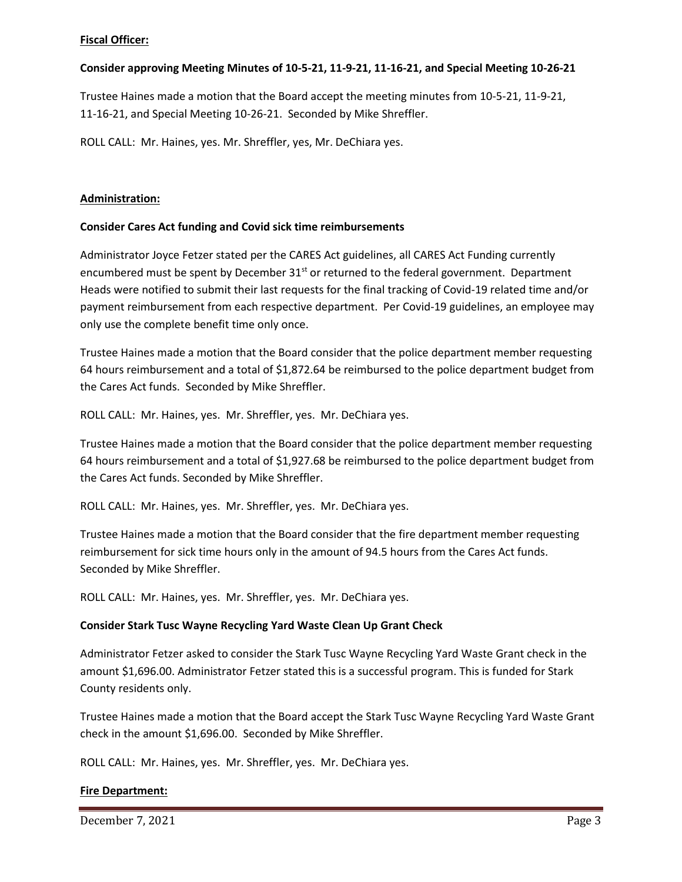## **Fiscal Officer:**

# **Consider approving Meeting Minutes of 10-5-21, 11-9-21, 11-16-21, and Special Meeting 10-26-21**

Trustee Haines made a motion that the Board accept the meeting minutes from 10-5-21, 11-9-21, 11-16-21, and Special Meeting 10-26-21. Seconded by Mike Shreffler.

ROLL CALL: Mr. Haines, yes. Mr. Shreffler, yes, Mr. DeChiara yes.

# **Administration:**

# **Consider Cares Act funding and Covid sick time reimbursements**

Administrator Joyce Fetzer stated per the CARES Act guidelines, all CARES Act Funding currently encumbered must be spent by December  $31<sup>st</sup>$  or returned to the federal government. Department Heads were notified to submit their last requests for the final tracking of Covid-19 related time and/or payment reimbursement from each respective department. Per Covid-19 guidelines, an employee may only use the complete benefit time only once.

Trustee Haines made a motion that the Board consider that the police department member requesting 64 hours reimbursement and a total of \$1,872.64 be reimbursed to the police department budget from the Cares Act funds. Seconded by Mike Shreffler.

ROLL CALL: Mr. Haines, yes. Mr. Shreffler, yes. Mr. DeChiara yes.

Trustee Haines made a motion that the Board consider that the police department member requesting 64 hours reimbursement and a total of \$1,927.68 be reimbursed to the police department budget from the Cares Act funds. Seconded by Mike Shreffler.

ROLL CALL: Mr. Haines, yes. Mr. Shreffler, yes. Mr. DeChiara yes.

Trustee Haines made a motion that the Board consider that the fire department member requesting reimbursement for sick time hours only in the amount of 94.5 hours from the Cares Act funds. Seconded by Mike Shreffler.

ROLL CALL: Mr. Haines, yes. Mr. Shreffler, yes. Mr. DeChiara yes.

## **Consider Stark Tusc Wayne Recycling Yard Waste Clean Up Grant Check**

Administrator Fetzer asked to consider the Stark Tusc Wayne Recycling Yard Waste Grant check in the amount \$1,696.00. Administrator Fetzer stated this is a successful program. This is funded for Stark County residents only.

Trustee Haines made a motion that the Board accept the Stark Tusc Wayne Recycling Yard Waste Grant check in the amount \$1,696.00. Seconded by Mike Shreffler.

ROLL CALL: Mr. Haines, yes. Mr. Shreffler, yes. Mr. DeChiara yes.

# **Fire Department:**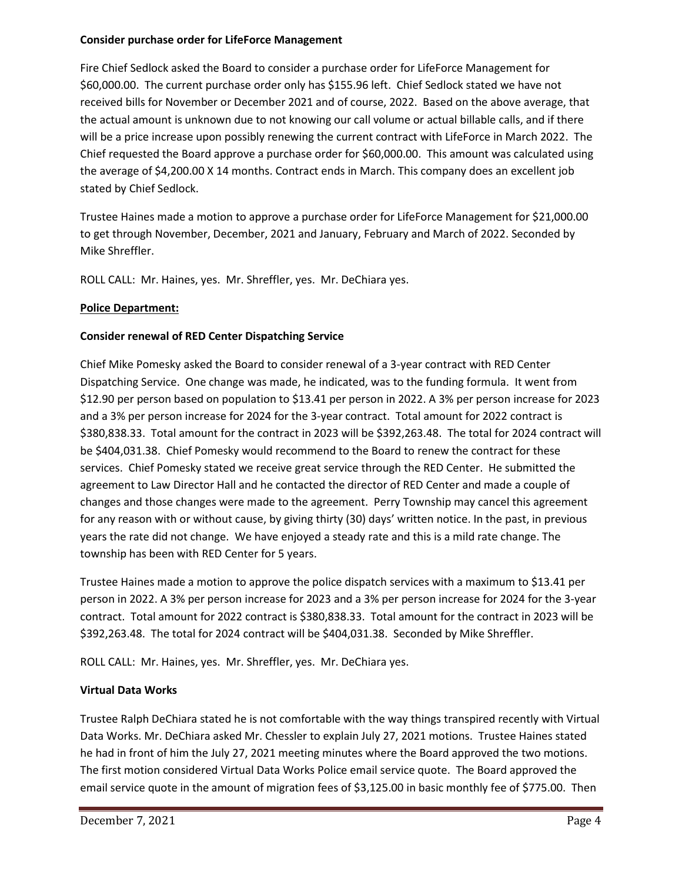## **Consider purchase order for LifeForce Management**

Fire Chief Sedlock asked the Board to consider a purchase order for LifeForce Management for \$60,000.00. The current purchase order only has \$155.96 left. Chief Sedlock stated we have not received bills for November or December 2021 and of course, 2022. Based on the above average, that the actual amount is unknown due to not knowing our call volume or actual billable calls, and if there will be a price increase upon possibly renewing the current contract with LifeForce in March 2022. The Chief requested the Board approve a purchase order for \$60,000.00. This amount was calculated using the average of \$4,200.00 X 14 months. Contract ends in March. This company does an excellent job stated by Chief Sedlock.

Trustee Haines made a motion to approve a purchase order for LifeForce Management for \$21,000.00 to get through November, December, 2021 and January, February and March of 2022. Seconded by Mike Shreffler.

ROLL CALL: Mr. Haines, yes. Mr. Shreffler, yes. Mr. DeChiara yes.

# **Police Department:**

# **Consider renewal of RED Center Dispatching Service**

Chief Mike Pomesky asked the Board to consider renewal of a 3-year contract with RED Center Dispatching Service. One change was made, he indicated, was to the funding formula. It went from \$12.90 per person based on population to \$13.41 per person in 2022. A 3% per person increase for 2023 and a 3% per person increase for 2024 for the 3-year contract. Total amount for 2022 contract is \$380,838.33. Total amount for the contract in 2023 will be \$392,263.48. The total for 2024 contract will be \$404,031.38. Chief Pomesky would recommend to the Board to renew the contract for these services. Chief Pomesky stated we receive great service through the RED Center. He submitted the agreement to Law Director Hall and he contacted the director of RED Center and made a couple of changes and those changes were made to the agreement. Perry Township may cancel this agreement for any reason with or without cause, by giving thirty (30) days' written notice. In the past, in previous years the rate did not change. We have enjoyed a steady rate and this is a mild rate change. The township has been with RED Center for 5 years.

Trustee Haines made a motion to approve the police dispatch services with a maximum to \$13.41 per person in 2022. A 3% per person increase for 2023 and a 3% per person increase for 2024 for the 3-year contract. Total amount for 2022 contract is \$380,838.33. Total amount for the contract in 2023 will be \$392,263.48. The total for 2024 contract will be \$404,031.38. Seconded by Mike Shreffler.

ROLL CALL: Mr. Haines, yes. Mr. Shreffler, yes. Mr. DeChiara yes.

# **Virtual Data Works**

Trustee Ralph DeChiara stated he is not comfortable with the way things transpired recently with Virtual Data Works. Mr. DeChiara asked Mr. Chessler to explain July 27, 2021 motions. Trustee Haines stated he had in front of him the July 27, 2021 meeting minutes where the Board approved the two motions. The first motion considered Virtual Data Works Police email service quote. The Board approved the email service quote in the amount of migration fees of \$3,125.00 in basic monthly fee of \$775.00. Then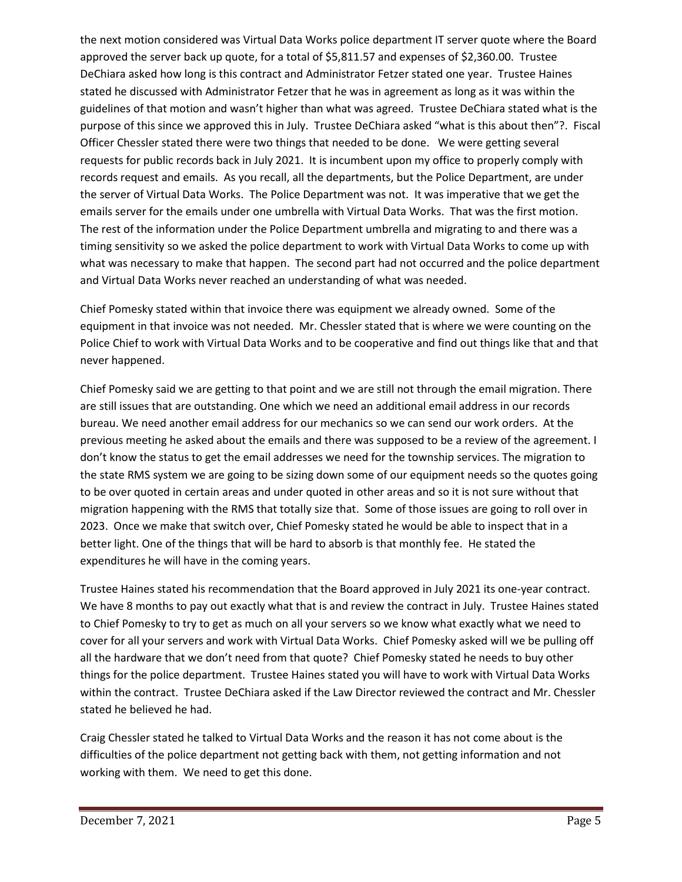the next motion considered was Virtual Data Works police department IT server quote where the Board approved the server back up quote, for a total of \$5,811.57 and expenses of \$2,360.00. Trustee DeChiara asked how long is this contract and Administrator Fetzer stated one year. Trustee Haines stated he discussed with Administrator Fetzer that he was in agreement as long as it was within the guidelines of that motion and wasn't higher than what was agreed. Trustee DeChiara stated what is the purpose of this since we approved this in July. Trustee DeChiara asked "what is this about then"?. Fiscal Officer Chessler stated there were two things that needed to be done. We were getting several requests for public records back in July 2021. It is incumbent upon my office to properly comply with records request and emails. As you recall, all the departments, but the Police Department, are under the server of Virtual Data Works. The Police Department was not. It was imperative that we get the emails server for the emails under one umbrella with Virtual Data Works. That was the first motion. The rest of the information under the Police Department umbrella and migrating to and there was a timing sensitivity so we asked the police department to work with Virtual Data Works to come up with what was necessary to make that happen. The second part had not occurred and the police department and Virtual Data Works never reached an understanding of what was needed.

Chief Pomesky stated within that invoice there was equipment we already owned. Some of the equipment in that invoice was not needed. Mr. Chessler stated that is where we were counting on the Police Chief to work with Virtual Data Works and to be cooperative and find out things like that and that never happened.

Chief Pomesky said we are getting to that point and we are still not through the email migration. There are still issues that are outstanding. One which we need an additional email address in our records bureau. We need another email address for our mechanics so we can send our work orders. At the previous meeting he asked about the emails and there was supposed to be a review of the agreement. I don't know the status to get the email addresses we need for the township services. The migration to the state RMS system we are going to be sizing down some of our equipment needs so the quotes going to be over quoted in certain areas and under quoted in other areas and so it is not sure without that migration happening with the RMS that totally size that. Some of those issues are going to roll over in 2023. Once we make that switch over, Chief Pomesky stated he would be able to inspect that in a better light. One of the things that will be hard to absorb is that monthly fee. He stated the expenditures he will have in the coming years.

Trustee Haines stated his recommendation that the Board approved in July 2021 its one-year contract. We have 8 months to pay out exactly what that is and review the contract in July. Trustee Haines stated to Chief Pomesky to try to get as much on all your servers so we know what exactly what we need to cover for all your servers and work with Virtual Data Works. Chief Pomesky asked will we be pulling off all the hardware that we don't need from that quote? Chief Pomesky stated he needs to buy other things for the police department. Trustee Haines stated you will have to work with Virtual Data Works within the contract. Trustee DeChiara asked if the Law Director reviewed the contract and Mr. Chessler stated he believed he had.

Craig Chessler stated he talked to Virtual Data Works and the reason it has not come about is the difficulties of the police department not getting back with them, not getting information and not working with them. We need to get this done.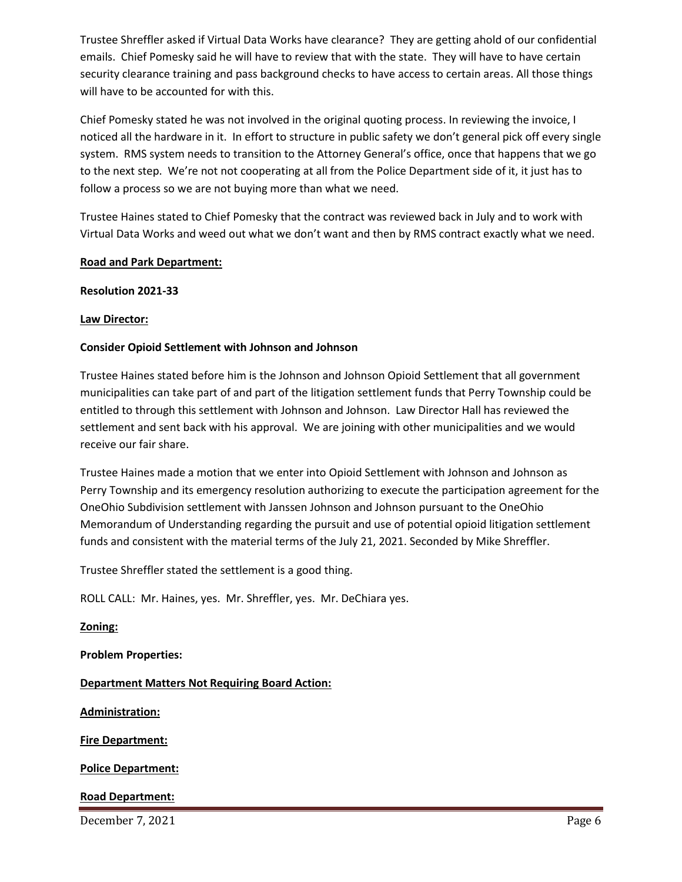Trustee Shreffler asked if Virtual Data Works have clearance? They are getting ahold of our confidential emails. Chief Pomesky said he will have to review that with the state. They will have to have certain security clearance training and pass background checks to have access to certain areas. All those things will have to be accounted for with this.

Chief Pomesky stated he was not involved in the original quoting process. In reviewing the invoice, I noticed all the hardware in it. In effort to structure in public safety we don't general pick off every single system. RMS system needs to transition to the Attorney General's office, once that happens that we go to the next step. We're not not cooperating at all from the Police Department side of it, it just has to follow a process so we are not buying more than what we need.

Trustee Haines stated to Chief Pomesky that the contract was reviewed back in July and to work with Virtual Data Works and weed out what we don't want and then by RMS contract exactly what we need.

### **Road and Park Department:**

### **Resolution 2021-33**

### **Law Director:**

## **Consider Opioid Settlement with Johnson and Johnson**

Trustee Haines stated before him is the Johnson and Johnson Opioid Settlement that all government municipalities can take part of and part of the litigation settlement funds that Perry Township could be entitled to through this settlement with Johnson and Johnson. Law Director Hall has reviewed the settlement and sent back with his approval. We are joining with other municipalities and we would receive our fair share.

Trustee Haines made a motion that we enter into Opioid Settlement with Johnson and Johnson as Perry Township and its emergency resolution authorizing to execute the participation agreement for the OneOhio Subdivision settlement with Janssen Johnson and Johnson pursuant to the OneOhio Memorandum of Understanding regarding the pursuit and use of potential opioid litigation settlement funds and consistent with the material terms of the July 21, 2021. Seconded by Mike Shreffler.

Trustee Shreffler stated the settlement is a good thing.

ROLL CALL: Mr. Haines, yes. Mr. Shreffler, yes. Mr. DeChiara yes.

**Zoning:**

**Problem Properties:**

**Department Matters Not Requiring Board Action:**

**Administration:**

**Fire Department:**

**Police Department:**

## **Road Department:**

December 7, 2021 Page 6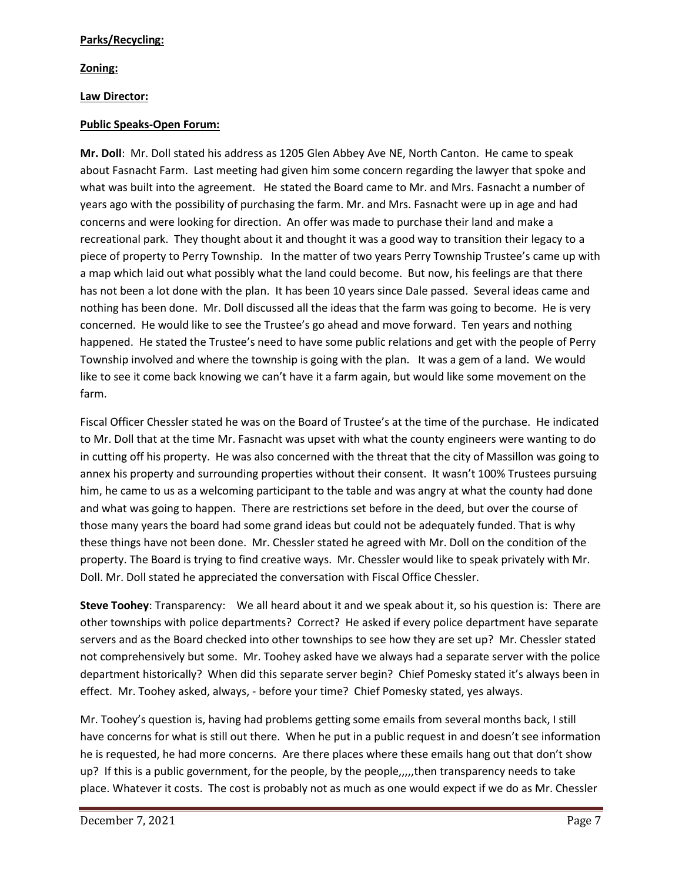## **Parks/Recycling:**

# **Zoning:**

# **Law Director:**

## **Public Speaks-Open Forum:**

**Mr. Doll**: Mr. Doll stated his address as 1205 Glen Abbey Ave NE, North Canton. He came to speak about Fasnacht Farm. Last meeting had given him some concern regarding the lawyer that spoke and what was built into the agreement. He stated the Board came to Mr. and Mrs. Fasnacht a number of years ago with the possibility of purchasing the farm. Mr. and Mrs. Fasnacht were up in age and had concerns and were looking for direction. An offer was made to purchase their land and make a recreational park. They thought about it and thought it was a good way to transition their legacy to a piece of property to Perry Township. In the matter of two years Perry Township Trustee's came up with a map which laid out what possibly what the land could become. But now, his feelings are that there has not been a lot done with the plan. It has been 10 years since Dale passed. Several ideas came and nothing has been done. Mr. Doll discussed all the ideas that the farm was going to become. He is very concerned. He would like to see the Trustee's go ahead and move forward. Ten years and nothing happened. He stated the Trustee's need to have some public relations and get with the people of Perry Township involved and where the township is going with the plan. It was a gem of a land. We would like to see it come back knowing we can't have it a farm again, but would like some movement on the farm.

Fiscal Officer Chessler stated he was on the Board of Trustee's at the time of the purchase. He indicated to Mr. Doll that at the time Mr. Fasnacht was upset with what the county engineers were wanting to do in cutting off his property. He was also concerned with the threat that the city of Massillon was going to annex his property and surrounding properties without their consent. It wasn't 100% Trustees pursuing him, he came to us as a welcoming participant to the table and was angry at what the county had done and what was going to happen. There are restrictions set before in the deed, but over the course of those many years the board had some grand ideas but could not be adequately funded. That is why these things have not been done. Mr. Chessler stated he agreed with Mr. Doll on the condition of the property. The Board is trying to find creative ways. Mr. Chessler would like to speak privately with Mr. Doll. Mr. Doll stated he appreciated the conversation with Fiscal Office Chessler.

**Steve Toohey**: Transparency: We all heard about it and we speak about it, so his question is: There are other townships with police departments? Correct? He asked if every police department have separate servers and as the Board checked into other townships to see how they are set up? Mr. Chessler stated not comprehensively but some. Mr. Toohey asked have we always had a separate server with the police department historically? When did this separate server begin? Chief Pomesky stated it's always been in effect. Mr. Toohey asked, always, - before your time? Chief Pomesky stated, yes always.

Mr. Toohey's question is, having had problems getting some emails from several months back, I still have concerns for what is still out there. When he put in a public request in and doesn't see information he is requested, he had more concerns. Are there places where these emails hang out that don't show up? If this is a public government, for the people, by the people,,,,,then transparency needs to take place. Whatever it costs. The cost is probably not as much as one would expect if we do as Mr. Chessler